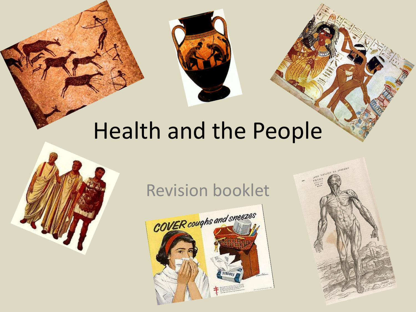

# Health and the People



Revision booklet



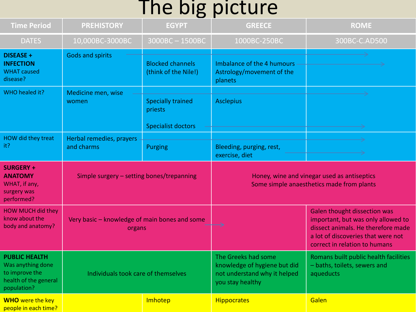### The big picture

| <b>Time Period</b>                                                                                  | <b>PREHISTORY</b>                                       | <b>EGYPT</b>                                                     | <b>GREECE</b>                                                                                           | <b>ROME</b>                                                                                                                                                                            |
|-----------------------------------------------------------------------------------------------------|---------------------------------------------------------|------------------------------------------------------------------|---------------------------------------------------------------------------------------------------------|----------------------------------------------------------------------------------------------------------------------------------------------------------------------------------------|
| <b>DATES</b>                                                                                        | 10,000BC-3000BC                                         | 3000BC-1500BC                                                    | 1000BC-250BC                                                                                            | 300BC-C.AD500                                                                                                                                                                          |
| <b>DISEASE +</b><br><b>INFECTION</b><br><b>WHAT</b> caused<br>disease?                              | <b>Gods and spirits</b>                                 | <b>Blocked channels</b><br>(think of the Nile!)                  | Imbalance of the 4 humours<br>Astrology/movement of the<br>planets                                      |                                                                                                                                                                                        |
| WHO healed it?                                                                                      | Medicine men, wise<br>women                             | <b>Specially trained</b><br>priests<br><b>Specialist doctors</b> | <b>Asclepius</b>                                                                                        |                                                                                                                                                                                        |
| HOW did they treat<br>it?                                                                           | Herbal remedies, prayers<br>and charms                  | <b>Purging</b>                                                   | Bleeding, purging, rest,<br>exercise, diet                                                              |                                                                                                                                                                                        |
| <b>SURGERY +</b><br><b>ANATOMY</b><br>WHAT, if any,<br>surgery was<br>performed?                    | Simple surgery - setting bones/trepanning               |                                                                  | Honey, wine and vinegar used as antiseptics<br>Some simple anaesthetics made from plants                |                                                                                                                                                                                        |
| <b>HOW MUCH did they</b><br>know about the<br>body and anatomy?                                     | Very basic - knowledge of main bones and some<br>organs |                                                                  |                                                                                                         | <b>Galen thought dissection was</b><br>important, but was only allowed to<br>dissect animals. He therefore made<br>a lot of discoveries that were not<br>correct in relation to humans |
| <b>PUBLIC HEALTH</b><br>Was anything done<br>to improve the<br>health of the general<br>population? | Individuals took care of themselves                     |                                                                  | The Greeks had some<br>knowledge of hygiene but did<br>not understand why it helped<br>you stay healthy | Romans built public health facilities<br>- baths, toilets, sewers and<br>aqueducts                                                                                                     |
| <b>WHO</b> were the key<br>people in each time?                                                     |                                                         | Imhotep                                                          | <b>Hippocrates</b>                                                                                      | Galen                                                                                                                                                                                  |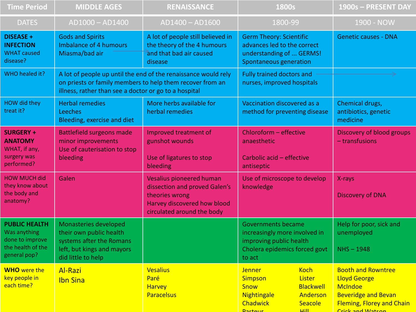| <b>Time Period</b>                                                                           | <b>MIDDLE AGES</b>                                                                                                                                                                   | <b>RENAISSANCE</b>                                                                                                                              | 1800s                                                                                                                                                                          | 1900s - PRESENT DAY                                                                                                                                      |
|----------------------------------------------------------------------------------------------|--------------------------------------------------------------------------------------------------------------------------------------------------------------------------------------|-------------------------------------------------------------------------------------------------------------------------------------------------|--------------------------------------------------------------------------------------------------------------------------------------------------------------------------------|----------------------------------------------------------------------------------------------------------------------------------------------------------|
| <b>DATES</b>                                                                                 | AD1000 - AD1400                                                                                                                                                                      | AD1400 - AD1600                                                                                                                                 | 1800-99                                                                                                                                                                        | 1900 - NOW                                                                                                                                               |
| <b>DISEASE +</b><br><b>INFECTION</b><br><b>WHAT caused</b><br>disease?                       | <b>Gods and Spirits</b><br><b>Imbalance of 4 humours</b><br>Miasma/bad air                                                                                                           | A lot of people still believed in<br>the theory of the 4 humours<br>and that bad air caused<br>disease                                          | <b>Germ Theory: Scientific</b><br>advances led to the correct<br>understanding of  GERMS!<br>Spontaneous generation                                                            | <b>Genetic causes - DNA</b>                                                                                                                              |
| WHO healed it?                                                                               | A lot of people up until the end of the renaissance would rely<br>on priests or family members to help them recover from an<br>illness, rather than see a doctor or go to a hospital |                                                                                                                                                 | <b>Fully trained doctors and</b><br>nurses, improved hospitals                                                                                                                 |                                                                                                                                                          |
| HOW did they<br>treat it?                                                                    | <b>Herbal remedies</b><br><b>Leeches</b><br>Bleeding, exercise and diet                                                                                                              | More herbs available for<br>herbal remedies                                                                                                     | Vaccination discovered as a<br>method for preventing disease                                                                                                                   | Chemical drugs,<br>antibiotics, genetic<br>medicine                                                                                                      |
| <b>SURGERY +</b><br><b>ANATOMY</b><br>WHAT, if any,<br>surgery was<br>performed?             | Battlefield surgeons made<br>minor improvements<br>Use of cauterisation to stop<br>bleeding                                                                                          | Improved treatment of<br>gunshot wounds<br>Use of ligatures to stop<br>bleeding                                                                 | Chloroform - effective<br>anaesthetic<br>Carbolic acid - effective<br>antiseptic                                                                                               | Discovery of blood groups<br>$-$ transfusions                                                                                                            |
| <b>HOW MUCH did</b><br>they know about<br>the body and<br>anatomy?                           | Galen                                                                                                                                                                                | <b>Vesalius pioneered human</b><br>dissection and proved Galen's<br>theories wrong<br>Harvey discovered how blood<br>circulated around the body | Use of microscope to develop<br>knowledge                                                                                                                                      | X-rays<br><b>Discovery of DNA</b>                                                                                                                        |
| <b>PUBLIC HEALTH</b><br>Was anything<br>done to improve<br>the health of the<br>general pop? | Monasteries developed<br>their own public health<br>systems after the Romans<br>left, but kings and mayors<br>did little to help                                                     |                                                                                                                                                 | <b>Governments became</b><br>increasingly more involved in<br>improving public health<br>Cholera epidemics forced govt<br>to act                                               | Help for poor, sick and<br>unemployed<br>$NHS - 1948$                                                                                                    |
| <b>WHO</b> were the<br>key people in<br>each time?                                           | <b>Al-Razi</b><br><b>Ibn Sina</b>                                                                                                                                                    | <b>Vesalius</b><br>Paré<br><b>Harvey</b><br><b>Paracelsus</b>                                                                                   | <b>Koch</b><br><b>Jenner</b><br>Lister<br><b>Simpson</b><br><b>Snow</b><br><b>Blackwell</b><br>Nightingale<br>Anderson<br>Chadwick<br>Seacole<br><b>Lill</b><br><b>Dactour</b> | <b>Booth and Rowntree</b><br><b>Lloyd George</b><br><b>McIndoe</b><br><b>Beveridge and Bevan</b><br><b>Fleming, Florey and Chain</b><br>Crick and Watson |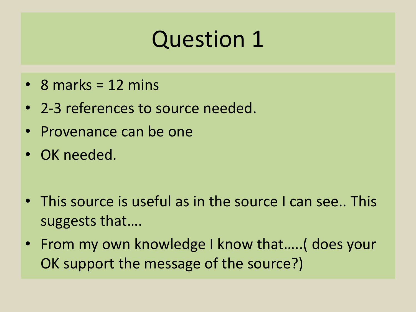- 8 marks =  $12$  mins
- 2-3 references to source needed.
- Provenance can be one
- OK needed.
- This source is useful as in the source I can see.. This suggests that….
- From my own knowledge I know that..... (does your OK support the message of the source?)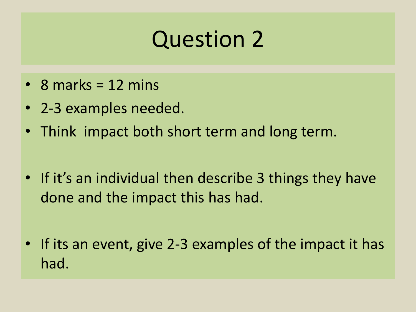- 8 marks =  $12$  mins
- 2-3 examples needed.
- Think impact both short term and long term.
- If it's an individual then describe 3 things they have done and the impact this has had.
- If its an event, give 2-3 examples of the impact it has had.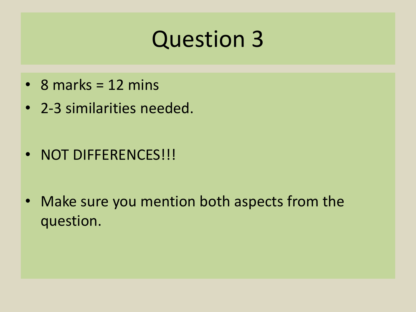- 8 marks = 12 mins
- 2-3 similarities needed.
- NOT DIFFERENCES!!!
- Make sure you mention both aspects from the question.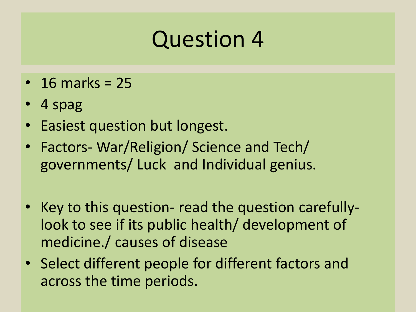- $\cdot$  16 marks = 25
- 4 spag
- Easiest question but longest.
- Factors- War/Religion/ Science and Tech/ governments/ Luck and Individual genius.
- Key to this question- read the question carefullylook to see if its public health/ development of medicine./ causes of disease
- Select different people for different factors and across the time periods.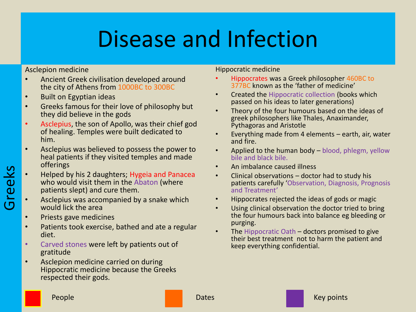Asclepion medicine

- Ancient Greek civilisation developed around the city of Athens from 1000BC to 300BC
- Built on Egyptian ideas
- Greeks famous for their love of philosophy but they did believe in the gods
- Asclepius, the son of Apollo, was their chief god of healing. Temples were built dedicated to him.
- Asclepius was believed to possess the power to heal patients if they visited temples and made offerings
- Helped by his 2 daughters; Hygeia and Panacea who would visit them in the Abaton (where patients slept) and cure them.
- Asclepius was accompanied by a snake which would lick the area
- Priests gave medicines

Greeks

- Patients took exercise, bathed and ate a regular diet.
- Carved stones were left by patients out of gratitude
- Asclepion medicine carried on during Hippocratic medicine because the Greeks respected their gods.

Hippocratic medicine

- Hippocrates was a Greek philosopher 460BC to 377BC known as the 'father of medicine'
- Created the Hippocratic collection (books which passed on his ideas to later generations)
- Theory of the four humours based on the ideas of greek philosophers like Thales, Anaximander, Pythagoras and Aristotle
- Everything made from 4 elements earth, air, water and fire.
- Applied to the human body blood, phlegm, yellow bile and black bile.
- An imbalance caused illness
- Clinical observations doctor had to study his patients carefully 'Observation, Diagnosis, Prognosis and Treatment'
- Hippocrates rejected the ideas of gods or magic
- Using clinical observation the doctor tried to bring the four humours back into balance eg bleeding or purging.
- The Hippocratic Oath  $-$  doctors promised to give their best treatment not to harm the patient and keep everything confidential.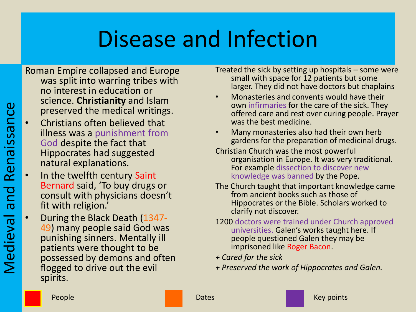Roman Empire collapsed and Europe was split into warring tribes with no interest in education or science. **Christianity** and Islam preserved the medical writings.

- Christians often believed that illness was a punishment from God despite the fact that Hippocrates had suggested natural explanations.
- In the twelfth century Saint Bernard said, 'To buy drugs or consult with physicians doesn't fit with religion.'
- During the Black Death (1347- 49) many people said God was punishing sinners. Mentally ill patients were thought to be possessed by demons and often flogged to drive out the evil spirits.

Treated the sick by setting up hospitals – some were small with space for 12 patients but some larger. They did not have doctors but chaplains

- Monasteries and convents would have their own infirmaries for the care of the sick. They offered care and rest over curing people. Prayer was the best medicine.
- Many monasteries also had their own herb gardens for the preparation of medicinal drugs.

Christian Church was the most powerful organisation in Europe. It was very traditional. For example dissection to discover new knowledge was banned by the Pope.

- The Church taught that important knowledge came from ancient books such as those of Hippocrates or the Bible. Scholars worked to clarify not discover.
- 1200 doctors were trained under Church approved universities. Galen's works taught here. If people questioned Galen they may be imprisoned like Roger Bacon.
- *+ Cared for the sick*
- *+ Preserved the work of Hippocrates and Galen.*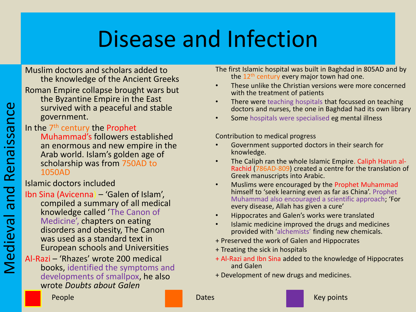Muslim doctors and scholars added to the knowledge of the Ancient Greeks Roman Empire collapse brought wars but the Byzantine Empire in the East survived with a peaceful and stable government.

In the 7<sup>th</sup> century the Prophet Muhammad's followers established an enormous and new empire in the Arab world. Islam's golden age of scholarship was from 750AD to 1050AD

Islamic doctors included

- Ibn Sina (Avicenna) 'Galen of Islam', compiled a summary of all medical knowledge called 'The Canon of Medicine', chapters on eating disorders and obesity, The Canon was used as a standard text in European schools and Universities
- Al-Razi 'Rhazes' wrote 200 medical books, identified the symptoms and developments of smallpox, he also wrote *Doubts about Galen*

The first Islamic hospital was built in Baghdad in 805AD and by the 12<sup>th</sup> century every major town had one.

- These unlike the Christian versions were more concerned with the treatment of patients
- There were teaching hospitals that focussed on teaching doctors and nurses, the one in Baghdad had its own library
- Some hospitals were specialised eg mental illness

Contribution to medical progress

- Government supported doctors in their search for knowledge.
- The Caliph ran the whole Islamic Empire. Caliph Harun al-Rachid (786AD-809) created a centre for the translation of Greek manuscripts into Arabic.
- Muslims were encouraged by the Prophet Muhammad himself to 'seek learning even as far as China'. Prophet Muhammad also encouraged a scientific approach; 'For every disease, Allah has given a cure'
- Hippocrates and Galen's works were translated
- Islamic medicine improved the drugs and medicines provided with 'alchemists' finding new chemicals.
- + Preserved the work of Galen and Hippocrates
- + Treating the sick in hospitals
- + Al-Razi and Ibn Sina added to the knowledge of Hippocrates and Galen
- + Development of new drugs and medicines.

People **Dates According to the Dates** Control of the Dates Control of the Date of the Media of the Media of the M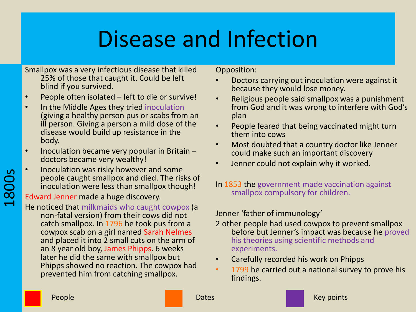Smallpox was a very infectious disease that killed 25% of those that caught it. Could be left blind if you survived.

- People often isolated left to die or survive!
- In the Middle Ages they tried inoculation (giving a healthy person pus or scabs from an ill person. Giving a person a mild dose of the disease would build up resistance in the body.
- Inoculation became very popular in Britain doctors became very wealthy!
- Inoculation was risky however and some people caught smallpox and died. The risks of inoculation were less than smallpox though!

Edward Jenner made a huge discovery.

He noticed that milkmaids who caught cowpox (a non-fatal version) from their cows did not catch smallpox. In 1796 he took pus from a cowpox scab on a girl named Sarah Nelmes and placed it into 2 small cuts on the arm of an 8 year old boy, James Phipps. 6 weeks later he did the same with smallpox but Phipps showed no reaction. The cowpox had prevented him from catching smallpox.

Opposition:

- Doctors carrying out inoculation were against it because they would lose money.
- Religious people said smallpox was a punishment from God and it was wrong to interfere with God's plan
- People feared that being vaccinated might turn them into cows
- Most doubted that a country doctor like Jenner could make such an important discovery
- Jenner could not explain why it worked.
- In 1853 the government made vaccination against smallpox compulsory for children.

Jenner 'father of immunology'

- 2 other people had used cowpox to prevent smallpox before but Jenner's impact was because he proved his theories using scientific methods and experiments.
- Carefully recorded his work on Phipps
- 1799 he carried out a national survey to prove his findings.



1800s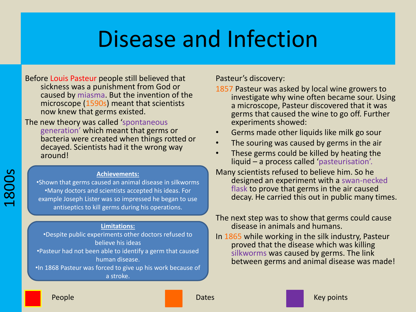Before Louis Pasteur people still believed that sickness was a punishment from God or caused by miasma. But the invention of the microscope (1590s) meant that scientists now knew that germs existed.

The new theory was called 'spontaneous generation' which meant that germs or bacteria were created when things rotted or decayed. Scientists had it the wrong way around!

#### **Achievements:**

•Shown that germs caused an animal disease in silkworms •Many doctors and scientists accepted his ideas. For example Joseph Lister was so impressed he began to use antiseptics to kill germs during his operations.

#### **Limitations:**

•Despite public experiments other doctors refused to believe his ideas •Pasteur had not been able to identify a germ that caused human disease. •In 1868 Pasteur was forced to give up his work because of a stroke.

Pasteur's discovery:

- 1857 Pasteur was asked by local wine growers to investigate why wine often became sour. Using a microscope, Pasteur discovered that it was germs that caused the wine to go off. Further experiments showed:
- Germs made other liquids like milk go sour
- The souring was caused by germs in the air
- These germs could be killed by heating the liquid – a process called 'pasteurisation'.
- Many scientists refused to believe him. So he designed an experiment with a swan-necked flask to prove that germs in the air caused decay. He carried this out in public many times.

#### The next step was to show that germs could cause disease in animals and humans.

In 1865 while working in the silk industry, Pasteur proved that the disease which was killing silkworms was caused by germs. The link between germs and animal disease was made!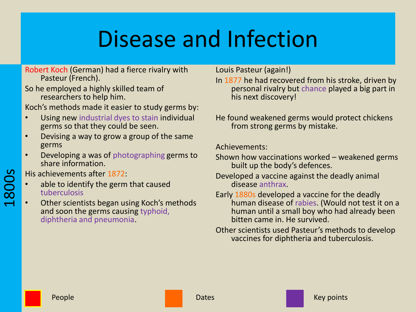Robert Koch (German) had a fierce rivalry with Pasteur (French).

So he employed a highly skilled team of researchers to help him.

Koch's methods made it easier to study germs by:

- Using new industrial dyes to stain individual germs so that they could be seen.
- Devising a way to grow a group of the same germs
- Developing a was of photographing germs to share information.

His achievements after 1872:

1800s

- able to identify the germ that caused tuberculosis
- Other scientists began using Koch's methods and soon the germs causing typhoid, diphtheria and pneumonia.

Louis Pasteur (again!)

- In 1877 he had recovered from his stroke, driven by personal rivalry but chance played a big part in his next discovery!
- He found weakened germs would protect chickens from strong germs by mistake.

Achievements:

- Shown how vaccinations worked weakened germs built up the body's defences.
- Developed a vaccine against the deadly animal disease anthrax.
- Early 1880s developed a vaccine for the deadly human disease of rabies. (Would not test it on a human until a small boy who had already been bitten came in. He survived.
- Other scientists used Pasteur's methods to develop vaccines for diphtheria and tuberculosis.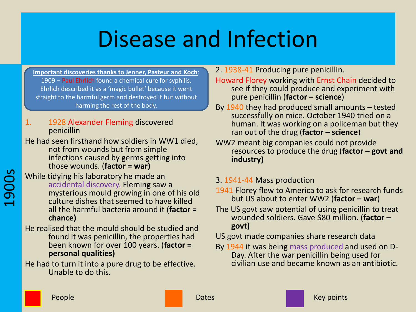**Important discoveries thanks to Jenner, Pasteur and Koch**: 1909 – Paul Ehrlich found a chemical cure for syphilis. Ehrlich described it as a 'magic bullet' because it went straight to the harmful germ and destroyed it but without harming the rest of the body.

1. 1928 Alexander Fleming discovered penicillin

He had seen firsthand how soldiers in WW1 died, not from wounds but from simple infections caused by germs getting into those wounds. (**factor = war)**

- While tidying his laboratory he made an accidental discovery. Fleming saw a mysterious mould growing in one of his old culture dishes that seemed to have killed all the harmful bacteria around it (**factor = chance)**
- He realised that the mould should be studied and found it was penicillin, the properties had been known for over 100 years. (**factor = personal qualities)**

He had to turn it into a pure drug to be effective. Unable to do this.

2. 1938-41 Producing pure penicillin.

Howard Florey working with Ernst Chain decided to see if they could produce and experiment with pure penicillin (**factor – science**)

- By 1940 they had produced small amounts tested successfully on mice. October 1940 tried on a human. It was working on a policeman but they ran out of the drug (**factor – science**)
- WW2 meant big companies could not provide resources to produce the drug (**factor – govt and industry)**
- 3. 1941-44 Mass production
- 1941 Florey flew to America to ask for research funds but US about to enter WW2 (**factor – war**)
- The US govt saw potential of using penicillin to treat wounded soldiers. Gave \$80 million. (**factor – govt)**
- US govt made companies share research data
- By 1944 it was being mass produced and used on D-Day. After the war penicillin being used for civilian use and became known as an antibiotic.

1900s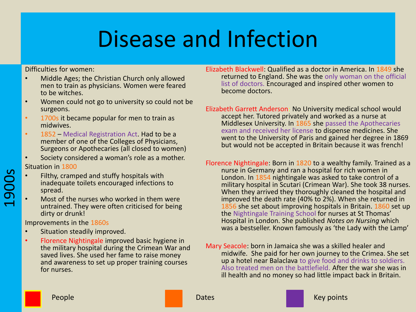Difficulties for women:

- Middle Ages; the Christian Church only allowed men to train as physicians. Women were feared to be witches.
- Women could not go to university so could not be surgeons.
- 1700s it became popular for men to train as midwives.
- 1852 Medical Registration Act. Had to be a member of one of the Colleges of Physicians, Surgeons or Apothecaries (all closed to women)
- Society considered a woman's role as a mother. Situation in 1800
- Filthy, cramped and stuffy hospitals with inadequate toilets encouraged infections to spread.
- Most of the nurses who worked in them were untrained. They were often criticised for being dirty or drunk!

Improvements in the 1860s

1900s

- Situation steadily improved.
- Florence Nightingale improved basic hygiene in the military hospital during the Crimean War and saved lives. She used her fame to raise money and awareness to set up proper training courses for nurses.
- Elizabeth Blackwell: Qualified as a doctor in America. In 1849 she returned to England. She was the only woman on the official list of doctors. Encouraged and inspired other women to become doctors.
- Elizabeth Garrett Anderson: No University medical school would accept her. Tutored privately and worked as a nurse at Middlesex University. In 1865 she passed the Apothecaries exam and received her license to dispense medicines. She went to the University of Paris and gained her degree in 1869 but would not be accepted in Britain because it was french!
- Florence Nightingale: Born in 1820 to a wealthy family. Trained as a nurse in Germany and ran a hospital for rich women in London. In 1854 nightingale was asked to take control of a military hospital in Scutari (Crimean War). She took 38 nurses. When they arrived they thoroughly cleaned the hospital and improved the death rate (40% to 2%). When she returned in 1856 she set about improving hospitals in Britain. 1860 set up the Nightingale Training School for nurses at St Thomas' Hospital in London. She published *Notes on Nursing* which was a bestseller. Known famously as 'the Lady with the Lamp'
- Mary Seacole: born in Jamaica she was a skilled healer and midwife. She paid for her own journey to the Crimea. She set up a hotel near Balaclava to give food and drinks to soldiers. Also treated men on the battlefield. After the war she was in ill health and no money so had little impact back in Britain.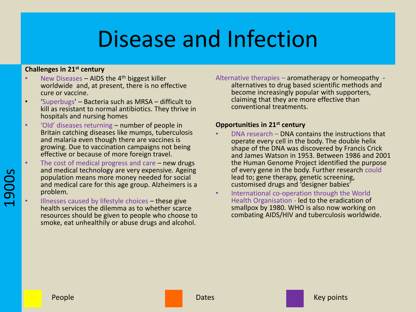#### **Challenges in 21st century**

- New Diseases AIDS the  $4<sup>th</sup>$  biggest killer worldwide and, at present, there is no effective cure or vaccine.
- 'Superbugs' Bacteria such as MRSA difficult to kill as resistant to normal antibiotics. They thrive in hospitals and nursing homes
- 'Old' diseases returning number of people in Britain catching diseases like mumps, tuberculosis and malaria even though there are vaccines is growing. Due to vaccination campaigns not being effective or because of more foreign travel.
- The cost of medical progress and care  $-$  new drugs and medical technology are very expensive. Ageing population means more money needed for social and medical care for this age group. Alzheimers is a problem.
	- Illnesses caused by lifestyle choices these give health services the dilemma as to whether scarce resources should be given to people who choose to smoke, eat unhealthily or abuse drugs and alcohol.

Alternative therapies – aromatherapy or homeopathy alternatives to drug based scientific methods and become increasingly popular with supporters, claiming that they are more effective than conventional treatments.

#### **Opportunities in 21st century**

- DNA research DNA contains the instructions that operate every cell in the body. The double helix shape of the DNA was discovered by Francis Crick and James Watson in 1953. Between 1986 and 2001 the Human Genome Project identified the purpose of every gene in the body. Further research could lead to; gene therapy, genetic screening, customised drugs and 'designer babies'
- International co-operation through the World Health Organisation - led to the eradication of smallpox by 1980. WHO is also now working on combating AIDS/HIV and tuberculosis worldwide.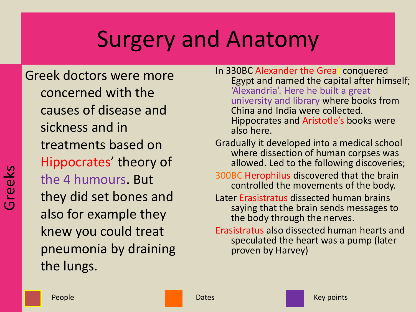Greek doctors were more concerned with the causes of disease and sickness and in treatments based on Hippocrates' theory of the 4 humours. But they did set bones and also for example they knew you could treat pneumonia by draining the lungs.

- In 330BC Alexander the Great conquered Egypt and named the capital after himself; 'Alexandria'. Here he built a great university and library where books from China and India were collected. Hippocrates and Aristotle's books were also here.
- Gradually it developed into a medical school where dissection of human corpses was allowed. Led to the following discoveries;
- 300BC Herophilus discovered that the brain controlled the movements of the body.
- Later Erasistratus dissected human brains saying that the brain sends messages to the body through the nerves.
- Erasistratus also dissected human hearts and speculated the heart was a pump (later proven by Harvey)

reeks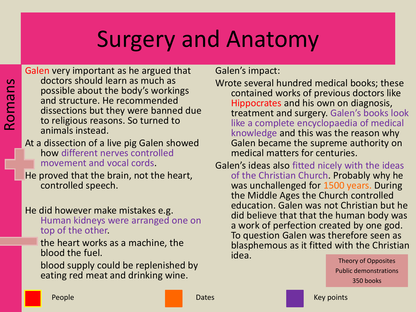Galen very important as he argued that doctors should learn as much as possible about the body's workings and structure. He recommended dissections but they were banned due to religious reasons. So turned to animals instead.

### At a dissection of a live pig Galen showed how different nerves controlled movement and vocal cords.

He proved that the brain, not the heart, controlled speech.

### He did however make mistakes e.g.

Human kidneys were arranged one on top of the other.

the heart works as a machine, the blood the fuel.

blood supply could be replenished by eating red meat and drinking wine.

Galen's impact:

- Wrote several hundred medical books; these contained works of previous doctors like Hippocrates and his own on diagnosis, treatment and surgery. Galen's books look like a complete encyclopaedia of medical knowledge and this was the reason why Galen became the supreme authority on medical matters for centuries.
- Galen's ideas also fitted nicely with the ideas of the Christian Church. Probably why he was unchallenged for 1500 years. During the Middle Ages the Church controlled education. Galen was not Christian but he did believe that that the human body was a work of perfection created by one god. To question Galen was therefore seen as blasphemous as it fitted with the Christian **idea.** Theory of Opposites

Public demonstrations 350 books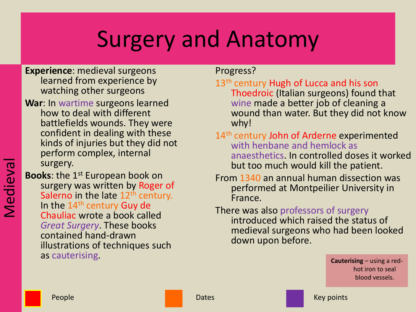**Experience**: medieval surgeons learned from experience by watching other surgeons

**War**: In wartime surgeons learned how to deal with different battlefields wounds. They were confident in dealing with these kinds of injuries but they did not perform complex, internal surgery.

**Books**: the 1<sup>st</sup> European book on surgery was written by Roger of Salerno in the late  $12<sup>th</sup>$  century. In the  $14<sup>th</sup>$  century Guy de Chauliac wrote a book called *Great Surgery*. These books contained hand-drawn illustrations of techniques such as cauterising.

Progress?

13<sup>th</sup> century Hugh of Lucca and his son Thoedroic (Italian surgeons) found that wine made a better job of cleaning a wound than water. But they did not know why!

- 14<sup>th</sup> century John of Arderne experimented with henbane and hemlock as anaesthetics. In controlled doses it worked but too much would kill the patient.
- From 1340 an annual human dissection was performed at Montpeilier University in France.

### There was also professors of surgery introduced which raised the status of medieval surgeons who had been looked down upon before.

**Cauterising** – using a redhot iron to seal blood vessels.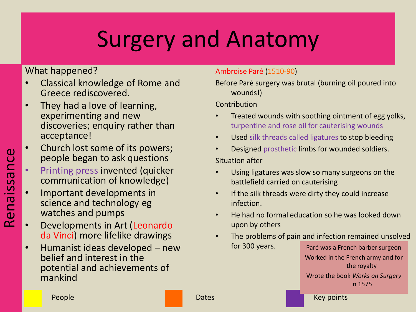### What happened?

- Classical knowledge of Rome and Greece rediscovered.
- They had a love of learning, experimenting and new discoveries; enquiry rather than acceptance!
- Church lost some of its powers; people began to ask questions
	- Printing press invented (quicker communication of knowledge)
- Important developments in science and technology eg watches and pumps
- Developments in Art (Leonardo da Vinci) more lifelike drawings
- Humanist ideas developed new belief and interest in the potential and achievements of mankind

### Ambroise Paré (1510-90)

Before Paré surgery was brutal (burning oil poured into wounds!)

### Contribution

- Treated wounds with soothing ointment of egg yolks, turpentine and rose oil for cauterising wounds
- Used silk threads called ligatures to stop bleeding
- Designed prosthetic limbs for wounded soldiers.

### Situation after

- Using ligatures was slow so many surgeons on the battlefield carried on cauterising
- If the silk threads were dirty they could increase infection.
- He had no formal education so he was looked down upon by others
- The problems of pain and infection remained unsolved for 300 years. Paré was a French barber surgeon

Worked in the French army and for the royalty Wrote the book *Works on Surgery* 

in 1575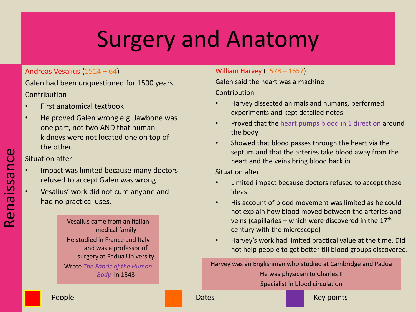#### Andreas Vesalius (1514 – 64)

Galen had been unquestioned for 1500 years. **Contribution** 

- First anatomical textbook
- He proved Galen wrong e.g. Jawbone was one part, not two AND that human kidneys were not located one on top of the other.

#### Situation after

- Impact was limited because many doctors refused to accept Galen was wrong
- Vesalius' work did not cure anyone and had no practical uses.

Vesalius came from an Italian medical family He studied in France and Italy and was a professor of surgery at Padua University Wrote *The Fabric of the Human Body* in 1543

### William Harvey (1578 – 1657)

Galen said the heart was a machine

Contribution

- Harvey dissected animals and humans, performed experiments and kept detailed notes
- Proved that the heart pumps blood in 1 direction around the body
- Showed that blood passes through the heart via the septum and that the arteries take blood away from the heart and the veins bring blood back in

Situation after

- Limited impact because doctors refused to accept these ideas
- His account of blood movement was limited as he could not explain how blood moved between the arteries and veins (capillaries – which were discovered in the  $17<sup>th</sup>$ century with the microscope)
- Harvey's work had limited practical value at the time. Did not help people to get better till blood groups discovered.

Harvey was an Englishman who studied at Cambridge and Padua He was physician to Charles II Specialist in blood circulation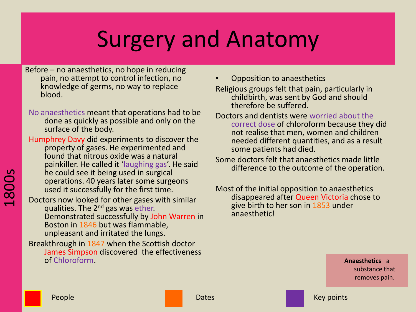Before – no anaesthetics, no hope in reducing pain, no attempt to control infection, no knowledge of germs, no way to replace blood.

No anaesthetics meant that operations had to be done as quickly as possible and only on the surface of the body.

Humphrey Davy did experiments to discover the property of gases. He experimented and found that nitrous oxide was a natural painkiller. He called it 'laughing gas'. He said he could see it being used in surgical operations. 40 years later some surgeons used it successfully for the first time.

Doctors now looked for other gases with similar qualities. The 2<sup>nd</sup> gas was ether. Demonstrated successfully by John Warren in Boston in 1846 but was flammable, unpleasant and irritated the lungs.

Breakthrough in 1847 when the Scottish doctor James Simpson discovered the effectiveness of Chloroform. **Anaesthetics**– a

• Opposition to anaesthetics

Religious groups felt that pain, particularly in childbirth, was sent by God and should therefore be suffered.

- Doctors and dentists were worried about the correct dose of chloroform because they did not realise that men, women and children needed different quantities, and as a result some patients had died.
- Some doctors felt that anaesthetics made little difference to the outcome of the operation.
- Most of the initial opposition to anaesthetics disappeared after Queen Victoria chose to give birth to her son in 1853 under anaesthetic!

substance that removes pain.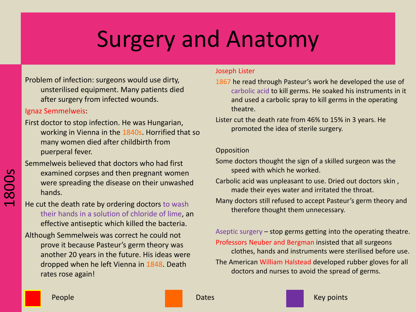Problem of infection: surgeons would use dirty, unsterilised equipment. Many patients died after surgery from infected wounds.

#### Ignaz Semmelweis:

First doctor to stop infection. He was Hungarian, working in Vienna in the 1840s. Horrified that so many women died after childbirth from puerperal fever.

Semmelweis believed that doctors who had first

- examined corpses and then pregnant women were spreading the disease on their unwashed hands.
- He cut the death rate by ordering doctors to wash their hands in a solution of chloride of lime, an effective antiseptic which killed the bacteria.
- Although Semmelweis was correct he could not prove it because Pasteur's germ theory was another 20 years in the future. His ideas were dropped when he left Vienna in 1848. Death rates rose again!

#### Joseph Lister

- 1867 he read through Pasteur's work he developed the use of carbolic acid to kill germs. He soaked his instruments in it and used a carbolic spray to kill germs in the operating theatre.
- Lister cut the death rate from 46% to 15% in 3 years. He promoted the idea of sterile surgery.

#### Opposition

- Some doctors thought the sign of a skilled surgeon was the speed with which he worked.
- Carbolic acid was unpleasant to use. Dried out doctors skin , made their eyes water and irritated the throat.
- Many doctors still refused to accept Pasteur's germ theory and therefore thought them unnecessary.

Aseptic surgery – stop germs getting into the operating theatre. Professors Neuber and Bergman insisted that all surgeons clothes, hands and instruments were sterilised before use. The American William Halstead developed rubber gloves for all doctors and nurses to avoid the spread of germs.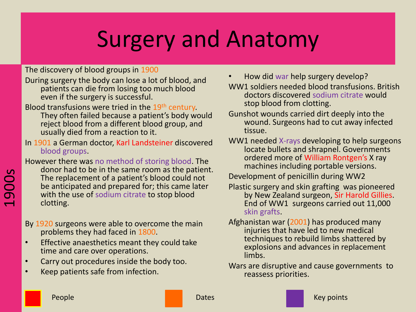The discovery of blood groups in 1900

During surgery the body can lose a lot of blood, and patients can die from losing too much blood even if the surgery is successful.

Blood transfusions were tried in the 19<sup>th</sup> century.

They often failed because a patient's body would reject blood from a different blood group, and usually died from a reaction to it.

In 1901 a German doctor, Karl Landsteiner discovered blood groups.

However there was no method of storing blood. The donor had to be in the same room as the patient. The replacement of a patient's blood could not be anticipated and prepared for; this came later with the use of sodium citrate to stop blood clotting.

- By 1920 surgeons were able to overcome the main problems they had faced in 1800.
- Effective anaesthetics meant they could take time and care over operations.
- Carry out procedures inside the body too.
- Keep patients safe from infection.

• How did war help surgery develop?

WW1 soldiers needed blood transfusions. British doctors discovered sodium citrate would stop blood from clotting.

- Gunshot wounds carried dirt deeply into the wound. Surgeons had to cut away infected tissue.
- WW1 needed X-rays developing to help surgeons locate bullets and shrapnel. Governments ordered more of William Rontgen's X ray machines including portable versions.
- Development of penicillin during WW2
- Plastic surgery and skin grafting was pioneered by New Zealand surgeon, Sir Harold Gillies. End of WW1 surgeons carried out 11,000 skin grafts.
- Afghanistan war (2001) has produced many injuries that have led to new medical techniques to rebuild limbs shattered by explosions and advances in replacement limbs.
- Wars are disruptive and cause governments to reassess priorities.

1900s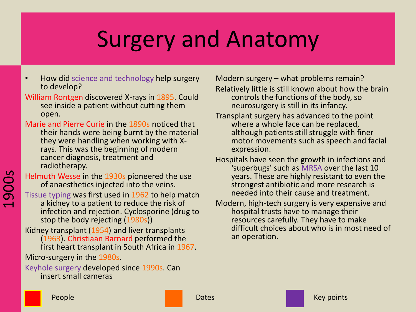- How did science and technology help surgery to develop?
- William Rontgen discovered X-rays in 1895. Could see inside a patient without cutting them open.
- Marie and Pierre Curie in the 1890s noticed that their hands were being burnt by the material they were handling when working with Xrays. This was the beginning of modern cancer diagnosis, treatment and radiotherapy.

Helmuth Wesse in the 1930s pioneered the use of anaesthetics injected into the veins.

Tissue typing was first used in 1962 to help match a kidney to a patient to reduce the risk of infection and rejection. Cyclosporine (drug to stop the body rejecting (1980s))

Kidney transplant (1954) and liver transplants (1963). Christiaan Barnard performed the first heart transplant in South Africa in 1967.

Micro-surgery in the 1980s.

Keyhole surgery developed since 1990s. Can insert small cameras

Modern surgery – what problems remain?

Relatively little is still known about how the brain controls the functions of the body, so neurosurgery is still in its infancy.

- Transplant surgery has advanced to the point where a whole face can be replaced, although patients still struggle with finer motor movements such as speech and facial expression.
- Hospitals have seen the growth in infections and 'superbugs' such as MRSA over the last 10 years. These are highly resistant to even the strongest antibiotic and more research is needed into their cause and treatment.
- Modern, high-tech surgery is very expensive and hospital trusts have to manage their resources carefully. They have to make difficult choices about who is in most need of an operation.

1900s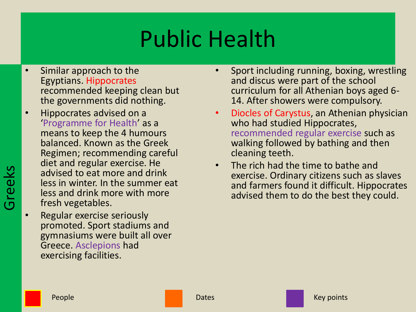- Similar approach to the Egyptians. Hippocrates recommended keeping clean but the governments did nothing.
- Hippocrates advised on a 'Programme for Health' as a means to keep the 4 humours balanced. Known as the Greek Regimen; recommending careful diet and regular exercise. He advised to eat more and drink less in winter. In the summer eat less and drink more with more fresh vegetables.
- Regular exercise seriously promoted. Sport stadiums and gymnasiums were built all over Greece. Asclepions had exercising facilities.
- Sport including running, boxing, wrestling and discus were part of the school curriculum for all Athenian boys aged 6- 14. After showers were compulsory.
- Diocles of Carystus, an Athenian physician who had studied Hippocrates, recommended regular exercise such as walking followed by bathing and then cleaning teeth.
- The rich had the time to bathe and exercise. Ordinary citizens such as slaves and farmers found it difficult. Hippocrates advised them to do the best they could.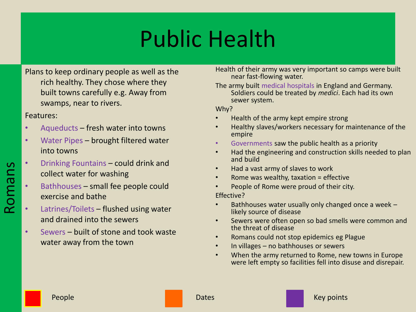Plans to keep ordinary people as well as the rich healthy. They chose where they built towns carefully e.g. Away from swamps, near to rivers.

Features:

Romans

- Aqueducts fresh water into towns
- Water Pipes brought filtered water into towns
- Drinking Fountains could drink and collect water for washing
- Bathhouses small fee people could exercise and bathe
- Latrines/Toilets flushed using water and drained into the sewers
- Sewers built of stone and took waste water away from the town

Health of their army was very important so camps were built near fast-flowing water.

The army built medical hospitals in England and Germany. Soldiers could be treated by *medici*. Each had its own sewer system.

Why?

- Health of the army kept empire strong
- Healthy slaves/workers necessary for maintenance of the empire
- Governments saw the public health as a priority
- Had the engineering and construction skills needed to plan and build
- Had a vast army of slaves to work
- Rome was wealthy, taxation = effective
- People of Rome were proud of their city.

Effective?

- Bathhouses water usually only changed once a week likely source of disease
- Sewers were often open so bad smells were common and the threat of disease
- Romans could not stop epidemics eg Plague
- In villages no bathhouses or sewers
- When the army returned to Rome, new towns in Europe were left empty so facilities fell into disuse and disrepair.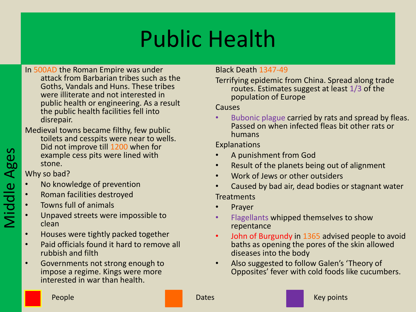- In 500AD the Roman Empire was under attack from Barbarian tribes such as the Goths, Vandals and Huns. These tribes were illiterate and not interested in public health or engineering. As a result the public health facilities fell into disrepair.
- Medieval towns became filthy, few public toilets and cesspits were near to wells. Did not improve till 1200 when for example cess pits were lined with stone.

Why so bad?

- No knowledge of prevention
- Roman facilities destroyed
- Towns full of animals
- Unpaved streets were impossible to clean
- Houses were tightly packed together
- Paid officials found it hard to remove all rubbish and filth
- Governments not strong enough to impose a regime. Kings were more interested in war than health.

### Black Death 1347-49

Terrifying epidemic from China. Spread along trade routes. Estimates suggest at least 1/3 of the population of Europe

#### Causes

Bubonic plague carried by rats and spread by fleas. Passed on when infected fleas bit other rats or humans

### Explanations

- A punishment from God
- Result of the planets being out of alignment
- Work of Jews or other outsiders
- Caused by bad air, dead bodies or stagnant water **Treatments**
- **Prayer**
- Flagellants whipped themselves to show repentance
- John of Burgundy in 1365 advised people to avoid baths as opening the pores of the skin allowed diseases into the body
- Also suggested to follow Galen's 'Theory of Opposites' fever with cold foods like cucumbers.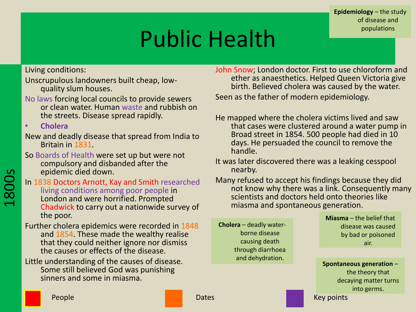**Epidemiology** – the study of disease and populations

# Public Health

Living conditions:

- Unscrupulous landowners built cheap, lowquality slum houses.
- No laws forcing local councils to provide sewers or clean water. Human waste and rubbish on the streets. Disease spread rapidly.

• **Cholera**

- New and deadly disease that spread from India to Britain in 1831.
- So Boards of Health were set up but were not compulsory and disbanded after the epidemic died down.
- In 1838 Doctors Arnott, Kay and Smith researched living conditions among poor people in London and were horrified. Prompted Chadwick to carry out a nationwide survey of the poor.
- Further cholera epidemics were recorded in 1848 and 1854. These made the wealthy realise that they could neither ignore nor dismiss the causes or effects of the disease.
- Little understanding of the causes of disease. Some still believed God was punishing sinners and some in miasma.
- John Snow; London doctor. First to use chloroform and ether as anaesthetics. Helped Queen Victoria give birth. Believed cholera was caused by the water. Seen as the father of modern epidemiology.
- He mapped where the cholera victims lived and saw that cases were clustered around a water pump in Broad street in 1854. 500 people had died in 10 days. He persuaded the council to remove the handle.
- It was later discovered there was a leaking cesspool nearby.
- Many refused to accept his findings because they did not know why there was a link. Consequently many scientists and doctors held onto theories like miasma and spontaneous generation.

**Cholera** – deadly waterborne disease causing death through diarrhoea and dehydration.

**Miasma** – the belief that disease was caused by bad or poisoned air.

**Spontaneous generation** – the theory that decaying matter turns into germs.

1800s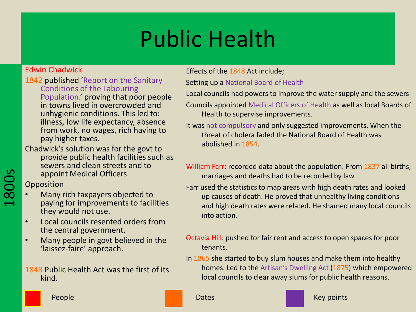### Edwin Chadwick

- 1842 published 'Report on the Sanitary Conditions of the Labouring Population.' proving that poor people in towns lived in overcrowded and unhygienic conditions. This led to: illness, low life expectancy, absence from work, no wages, rich having to pay higher taxes.
- Chadwick's solution was for the govt to provide public health facilities such as sewers and clean streets and to appoint Medical Officers.

**Opposition** 

1800s

- Many rich taxpayers objected to paying for improvements to facilities they would not use.
- Local councils resented orders from the central government.
- Many people in govt believed in the 'laissez-faire' approach.

1848 Public Health Act was the first of its kind.

### Effects of the 1848 Act include;

Setting up a National Board of Health

Local councils had powers to improve the water supply and the sewers

- Councils appointed Medical Officers of Health as well as local Boards of Health to supervise improvements.
- It was not compulsory and only suggested improvements. When the threat of cholera faded the National Board of Health was abolished in 1854.
- William Farr: recorded data about the population. From 1837 all births, marriages and deaths had to be recorded by law.
- Farr used the statistics to map areas with high death rates and looked up causes of death. He proved that unhealthy living conditions and high death rates were related. He shamed many local councils into action.
- Octavia Hill: pushed for fair rent and access to open spaces for poor tenants.
- In 1865 she started to buy slum houses and make them into healthy homes. Led to the Artisan's Dwelling Act (1875) which empowered local councils to clear away slums for public health reasons.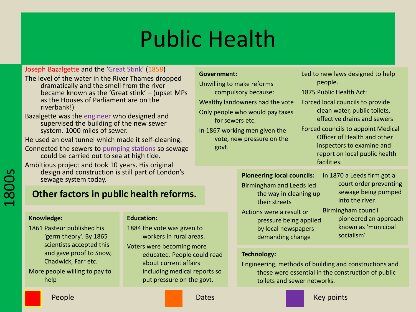#### Joseph Bazalgette and the 'Great Stink' (1858)

- The level of the water in the River Thames dropped dramatically and the smell from the river became known as the 'Great stink' – (upset MPs as the Houses of Parliament are on the riverbank!)
- Bazalgette was the engineer who designed and supervised the building of the new sewer system. 1000 miles of sewer.

He used an oval tunnel which made it self-cleaning.

Connected the sewers to pumping stations so sewage could be carried out to sea at high tide.

Ambitious project and took 10 years. His original design and construction is still part of London's sewage system today.

### **Other factors in public health reforms.**

#### **Knowledge:**

1800s

1861 Pasteur published his 'germ theory'. By 1865 scientists accepted this and gave proof to Snow, Chadwick, Farr etc. More people willing to pay to

help

#### **Education:**

- 1884 the vote was given to workers in rural areas.
- Voters were becoming more educated. People could read about current affairs including medical reports so put pressure on the govt.

#### **Government:**

- Unwilling to make reforms compulsory because:
- 
- Wealthy landowners had the vote
- Only people who would pay taxes for sewers etc.
- In 1867 working men given the vote, new pressure on the govt.
- Led to new laws designed to help people.
- 1875 Public Health Act:
- Forced local councils to provide clean water, public toilets, effective drains and sewers
- Forced councils to appoint Medical Officer of Health and other inspectors to examine and report on local public health facilities.

### **Pioneering local councils:**

Birmingham and Leeds led the way in cleaning up their streets Actions were a result or pressure being applied by local newspapers

demanding change

- In 1870 a Leeds firm got a court order preventing sewage being pumped into the river.
- Birmingham council pioneered an approach known as 'municipal socialism'

#### **Technology:**

Engineering, methods of building and constructions and these were essential in the construction of public toilets and sewer networks.

People **Dates According to the Dates** Control of the Dates Control of the Date of the Media of the Media of the M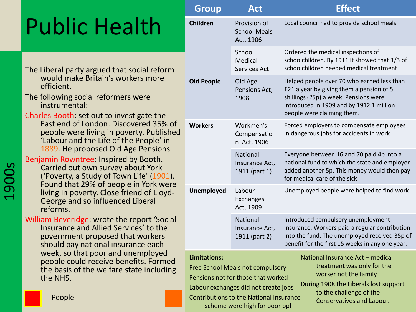- The Liberal party argued that social reform would make Britain's workers more efficient.
- The following social reformers were instrumental:
- Charles Booth: set out to investigate the East end of London. Discovered 35% of people were living in poverty. Published 'Labour and the Life of the People' in 1889. He proposed Old Age Pensions.

Benjamin Rowntree: Inspired by Booth. Carried out own survey about York

('Poverty, a Study of Town Life' (1901). Found that 29% of people in York were living in poverty. Close friend of Lloyd-George and so influenced Liberal reforms.

William Beveridge: wrote the report 'Social Insurance and Allied Services' to the government proposed that workers should pay national insurance each week, so that poor and unemployed people could receive benefits. Formed the basis of the welfare state including the NHS.

|                                                                                                                                                 | <b>Group</b>                                                                                                                                                                                                                                                                                                                                                                                                                | <b>Act</b>                                       | <b>Effect</b>                                                                                                                                                                                             |  |
|-------------------------------------------------------------------------------------------------------------------------------------------------|-----------------------------------------------------------------------------------------------------------------------------------------------------------------------------------------------------------------------------------------------------------------------------------------------------------------------------------------------------------------------------------------------------------------------------|--------------------------------------------------|-----------------------------------------------------------------------------------------------------------------------------------------------------------------------------------------------------------|--|
| blic Health                                                                                                                                     | <b>Children</b>                                                                                                                                                                                                                                                                                                                                                                                                             | Provision of<br><b>School Meals</b><br>Act, 1906 | Local council had to provide school meals                                                                                                                                                                 |  |
| eral party argued that social reform                                                                                                            |                                                                                                                                                                                                                                                                                                                                                                                                                             | School<br>Medical<br>Services Act                | Ordered the medical inspections of<br>schoolchildren. By 1911 it showed that 1/3 of<br>schoolchildren needed medical treatment                                                                            |  |
| uld make Britain's workers more<br>cient.<br>owing social reformers were<br>trumental:<br>Booth: set out to investigate the                     | <b>Old People</b>                                                                                                                                                                                                                                                                                                                                                                                                           | Old Age<br>Pensions Act,<br>1908                 | Helped people over 70 who earned less than<br>£21 a year by giving them a pension of 5<br>shillings (25p) a week. Pensions were<br>introduced in 1909 and by 1912 1 million<br>people were claiming them. |  |
| t end of London. Discovered 35% of<br>ople were living in poverty. Published<br>bour and the Life of the People' in                             | <b>Workers</b>                                                                                                                                                                                                                                                                                                                                                                                                              | Workmen's<br>Compensatio<br>n Act, 1906          | Forced employers to compensate employees<br>in dangerous jobs for accidents in work                                                                                                                       |  |
| 39. He proposed Old Age Pensions.<br>in Rowntree: Inspired by Booth.<br>ried out own survey about York<br>overty, a Study of Town Life' (1901). |                                                                                                                                                                                                                                                                                                                                                                                                                             | National<br>Insurance Act,<br>1911 (part 1)      | Everyone between 16 and 70 paid 4p into a<br>national fund to which the state and employer<br>added another 5p. This money would then pay<br>for medical care of the sick                                 |  |
| und that 29% of people in York were<br>ng in poverty. Close friend of Lloyd-<br>orge and so influenced Liberal<br>orms.                         | <b>Unemployed</b>                                                                                                                                                                                                                                                                                                                                                                                                           | Labour<br>Exchanges<br>Act, 1909                 | Unemployed people were helped to find work                                                                                                                                                                |  |
| Beveridge: wrote the report 'Social<br>urance and Allied Services' to the<br>ernment proposed that workers<br>ould pay national insurance each  |                                                                                                                                                                                                                                                                                                                                                                                                                             | National<br>Insurance Act,<br>1911 (part 2)      | Introduced compulsory unemployment<br>insurance. Workers paid a regular contribution<br>into the fund. The unemployed received 35p of<br>benefit for the first 15 weeks in any one year.                  |  |
| ek, so that poor and unemployed<br>ople could receive benefits. Formed<br>basis of the welfare state including<br>NHS.<br>People                | <b>Limitations:</b><br>National Insurance Act - medical<br>treatment was only for the<br>Free School Meals not compulsory<br>worker not the family<br>Pensions not for those that worked<br>During 1908 the Liberals lost support<br>Labour exchanges did not create jobs<br>to the challenge of the<br><b>Contributions to the National Insurance</b><br><b>Conservatives and Labour.</b><br>scheme were high for poor ppl |                                                  |                                                                                                                                                                                                           |  |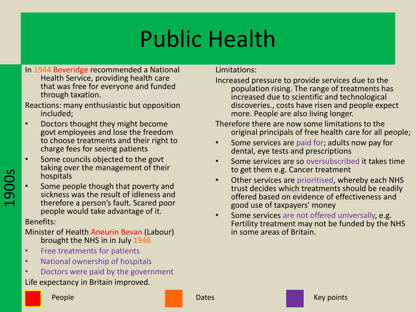- In 1944 Beveridge recommended a National Health Service, providing health care that was free for everyone and funded through taxation.
- Reactions: many enthusiastic but opposition included;
- Doctors thought they might become govt employees and lose the freedom to choose treatments and their right to charge fees for seeing patients
- Some councils objected to the govt taking over the management of their hospitals
- Some people though that poverty and sickness was the result of idleness and therefore a person's fault. Scared poor people would take advantage of it.

### Benefits:

Minister of Health Aneurin Bevan (Labour) brought the NHS in in July 1948

- Free treatments for patients
- National ownership of hospitals
- Doctors were paid by the government

### Life expectancy in Britain improved.

Limitations:

- Increased pressure to provide services due to the population rising. The range of treatments has increased due to scientific and technological discoveries., costs have risen and people expect more. People are also living longer.
- Therefore there are now some limitations to the original principals of free health care for all people;
- Some services are paid for; adults now pay for dental, eye tests and prescriptions
- Some services are so oversubscribed it takes time to get them e.g. Cancer treatment
- Other services are prioritised, whereby each NHS trust decides which treatments should be readily offered based on evidence of effectiveness and good use of taxpayers' money
- Some services are not offered universally, e.g. Fertility treatment may not be funded by the NHS in some areas of Britain.